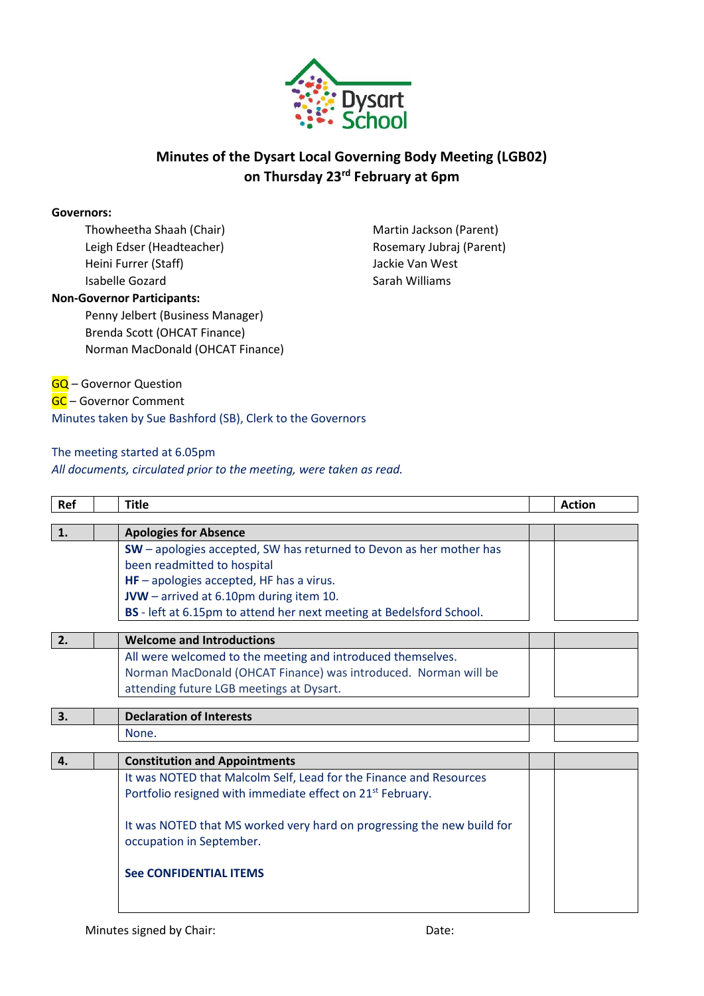

## **Minutes of the Dysart Local Governing Body Meeting (LGB02) on Thursday 23rd February at 6pm**

#### **Governors:**

Thowheetha Shaah (Chair) Leigh Edser (Headteacher) Heini Furrer (Staff) Isabelle Gozard

Martin Jackson (Parent) Rosemary Jubraj (Parent) Jackie Van West Sarah Williams

#### **Non-Governor Participants:**

Penny Jelbert (Business Manager) Brenda Scott (OHCAT Finance) Norman MacDonald (OHCAT Finance)

**GQ** – Governor Question GC – Governor Comment Minutes taken by Sue Bashford (SB), Clerk to the Governors

#### The meeting started at 6.05pm

*All documents, circulated prior to the meeting, were taken as read.*

| Ref | <b>Title</b>                                                           | <b>Action</b> |
|-----|------------------------------------------------------------------------|---------------|
|     |                                                                        |               |
| 1.  | <b>Apologies for Absence</b>                                           |               |
|     | SW - apologies accepted, SW has returned to Devon as her mother has    |               |
|     | been readmitted to hospital                                            |               |
|     | $HF$ – apologies accepted, HF has a virus.                             |               |
|     | JVW - arrived at 6.10pm during item 10.                                |               |
|     | BS - left at 6.15pm to attend her next meeting at Bedelsford School.   |               |
|     |                                                                        |               |
| 2.  | <b>Welcome and Introductions</b>                                       |               |
|     | All were welcomed to the meeting and introduced themselves.            |               |
|     | Norman MacDonald (OHCAT Finance) was introduced. Norman will be        |               |
|     | attending future LGB meetings at Dysart.                               |               |
|     |                                                                        |               |
| 3.  | <b>Declaration of Interests</b>                                        |               |
|     | None.                                                                  |               |
|     |                                                                        |               |
| 4.  | <b>Constitution and Appointments</b>                                   |               |
|     | It was NOTED that Malcolm Self, Lead for the Finance and Resources     |               |
|     | Portfolio resigned with immediate effect on 21 <sup>st</sup> February. |               |
|     |                                                                        |               |
|     | It was NOTED that MS worked very hard on progressing the new build for |               |
|     | occupation in September.                                               |               |
|     |                                                                        |               |
|     | <b>See CONFIDENTIAL ITEMS</b>                                          |               |
|     |                                                                        |               |
|     |                                                                        |               |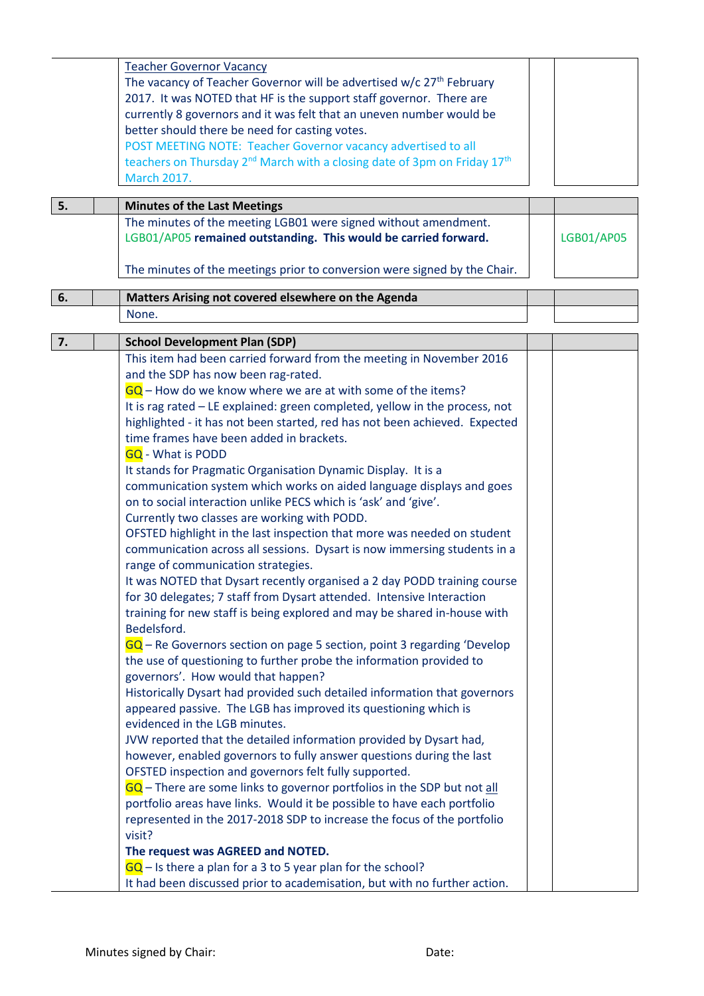|    | <b>Teacher Governor Vacancy</b>                                                                  |            |
|----|--------------------------------------------------------------------------------------------------|------------|
|    | The vacancy of Teacher Governor will be advertised w/c 27 <sup>th</sup> February                 |            |
|    | 2017. It was NOTED that HF is the support staff governor. There are                              |            |
|    | currently 8 governors and it was felt that an uneven number would be                             |            |
|    | better should there be need for casting votes.                                                   |            |
|    |                                                                                                  |            |
|    | POST MEETING NOTE: Teacher Governor vacancy advertised to all                                    |            |
|    | teachers on Thursday 2 <sup>nd</sup> March with a closing date of 3pm on Friday 17 <sup>th</sup> |            |
|    | <b>March 2017.</b>                                                                               |            |
| 5. | <b>Minutes of the Last Meetings</b>                                                              |            |
|    | The minutes of the meeting LGB01 were signed without amendment.                                  |            |
|    | LGB01/AP05 remained outstanding. This would be carried forward.                                  | LGB01/AP05 |
|    |                                                                                                  |            |
|    | The minutes of the meetings prior to conversion were signed by the Chair.                        |            |
|    |                                                                                                  |            |
| 6. | Matters Arising not covered elsewhere on the Agenda                                              |            |
|    | None.                                                                                            |            |
|    |                                                                                                  |            |
| 7. | <b>School Development Plan (SDP)</b>                                                             |            |
|    | This item had been carried forward from the meeting in November 2016                             |            |
|    | and the SDP has now been rag-rated.                                                              |            |
|    | $GQ$ – How do we know where we are at with some of the items?                                    |            |
|    | It is rag rated - LE explained: green completed, yellow in the process, not                      |            |
|    | highlighted - it has not been started, red has not been achieved. Expected                       |            |
|    | time frames have been added in brackets.                                                         |            |
|    | <b>GQ</b> - What is PODD                                                                         |            |
|    | It stands for Pragmatic Organisation Dynamic Display. It is a                                    |            |
|    | communication system which works on aided language displays and goes                             |            |
|    | on to social interaction unlike PECS which is 'ask' and 'give'.                                  |            |
|    | Currently two classes are working with PODD.                                                     |            |
|    |                                                                                                  |            |
|    | OFSTED highlight in the last inspection that more was needed on student                          |            |
|    | communication across all sessions. Dysart is now immersing students in a                         |            |
|    | range of communication strategies.                                                               |            |
|    | It was NOTED that Dysart recently organised a 2 day PODD training course                         |            |
|    | for 30 delegates; 7 staff from Dysart attended. Intensive Interaction                            |            |
|    | training for new staff is being explored and may be shared in-house with                         |            |
|    | Bedelsford.                                                                                      |            |
|    | $GQ$ – Re Governors section on page 5 section, point 3 regarding 'Develop                        |            |
|    | the use of questioning to further probe the information provided to                              |            |
|    | governors'. How would that happen?                                                               |            |
|    | Historically Dysart had provided such detailed information that governors                        |            |
|    | appeared passive. The LGB has improved its questioning which is                                  |            |
|    | evidenced in the LGB minutes.                                                                    |            |
|    | JVW reported that the detailed information provided by Dysart had,                               |            |
|    |                                                                                                  |            |
|    | however, enabled governors to fully answer questions during the last                             |            |
|    | OFSTED inspection and governors felt fully supported.                                            |            |
|    | $\overline{GQ}$ – There are some links to governor portfolios in the SDP but not all             |            |
|    | portfolio areas have links. Would it be possible to have each portfolio                          |            |
|    | represented in the 2017-2018 SDP to increase the focus of the portfolio                          |            |
|    | visit?                                                                                           |            |
|    | The request was AGREED and NOTED.                                                                |            |
|    | $GQ$ – Is there a plan for a 3 to 5 year plan for the school?                                    |            |
|    | It had been discussed prior to academisation, but with no further action.                        |            |
|    |                                                                                                  |            |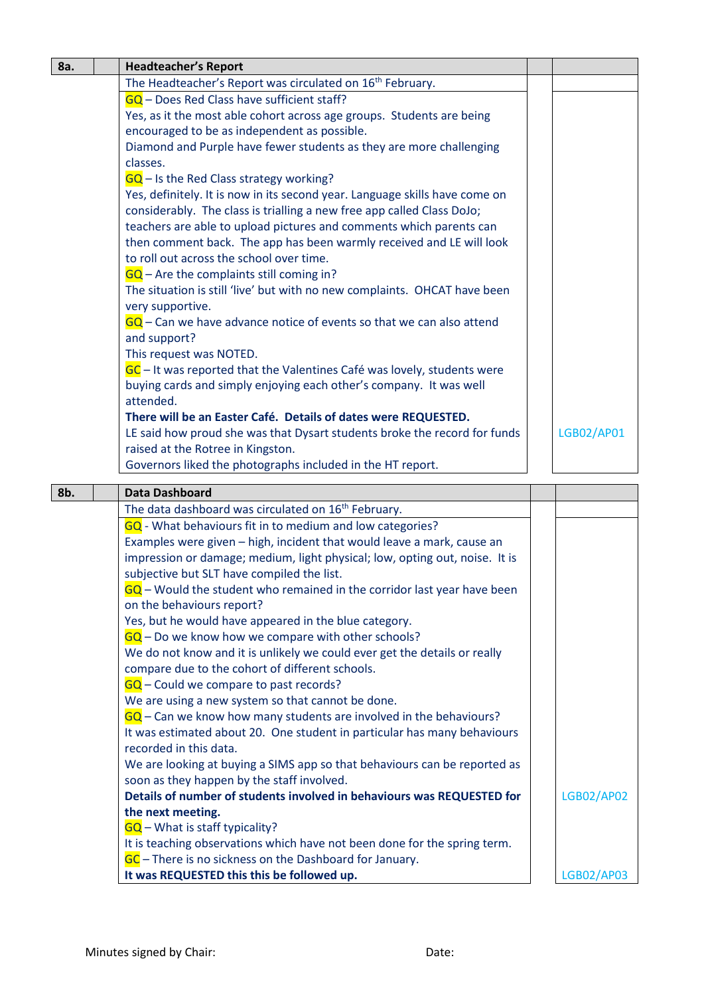| 8a. | <b>Headteacher's Report</b>                                                 |            |
|-----|-----------------------------------------------------------------------------|------------|
|     | The Headteacher's Report was circulated on 16 <sup>th</sup> February.       |            |
|     | GQ - Does Red Class have sufficient staff?                                  |            |
|     | Yes, as it the most able cohort across age groups. Students are being       |            |
|     | encouraged to be as independent as possible.                                |            |
|     | Diamond and Purple have fewer students as they are more challenging         |            |
|     | classes.                                                                    |            |
|     | $\overline{GQ}$ – Is the Red Class strategy working?                        |            |
|     | Yes, definitely. It is now in its second year. Language skills have come on |            |
|     | considerably. The class is trialling a new free app called Class DoJo;      |            |
|     | teachers are able to upload pictures and comments which parents can         |            |
|     | then comment back. The app has been warmly received and LE will look        |            |
|     | to roll out across the school over time.                                    |            |
|     | GQ - Are the complaints still coming in?                                    |            |
|     | The situation is still 'live' but with no new complaints. OHCAT have been   |            |
|     |                                                                             |            |
|     | very supportive.                                                            |            |
|     | $GQ$ – Can we have advance notice of events so that we can also attend      |            |
|     | and support?                                                                |            |
|     | This request was NOTED.                                                     |            |
|     | GC – It was reported that the Valentines Café was lovely, students were     |            |
|     | buying cards and simply enjoying each other's company. It was well          |            |
|     | attended.                                                                   |            |
|     | There will be an Easter Café. Details of dates were REQUESTED.              |            |
|     | LE said how proud she was that Dysart students broke the record for funds   | LGB02/AP01 |
|     | raised at the Rotree in Kingston.                                           |            |
|     | Governors liked the photographs included in the HT report.                  |            |
|     |                                                                             |            |
| 8b. | <b>Data Dashboard</b>                                                       |            |
|     | The data dashboard was circulated on 16 <sup>th</sup> February.             |            |
|     | GQ - What behaviours fit in to medium and low categories?                   |            |
|     | Examples were given - high, incident that would leave a mark, cause an      |            |
|     | impression or damage; medium, light physical; low, opting out, noise. It is |            |
|     | subjective but SLT have compiled the list.                                  |            |
|     | $GQ$ – Would the student who remained in the corridor last year have been   |            |
|     | on the behaviours report?                                                   |            |
|     | Yes, but he would have appeared in the blue category.                       |            |
|     | $GQ$ – Do we know how we compare with other schools?                        |            |
|     | We do not know and it is unlikely we could ever get the details or really   |            |
|     | compare due to the cohort of different schools.                             |            |
|     | $GQ$ – Could we compare to past records?                                    |            |
|     | We are using a new system so that cannot be done.                           |            |
|     | $GQ$ – Can we know how many students are involved in the behaviours?        |            |
|     | It was estimated about 20. One student in particular has many behaviours    |            |
|     | recorded in this data.                                                      |            |
|     | We are looking at buying a SIMS app so that behaviours can be reported as   |            |
|     |                                                                             |            |

soon as they happen by the staff involved. **Details of number of students involved in behaviours was REQUESTED for the next meeting.** GQ - What is staff typicality? It is teaching observations which have not been done for the spring term. LGB02/AP02

GC – There is no sickness on the Dashboard for January.

**It was REQUESTED this this be followed up.**

LGB02/AP03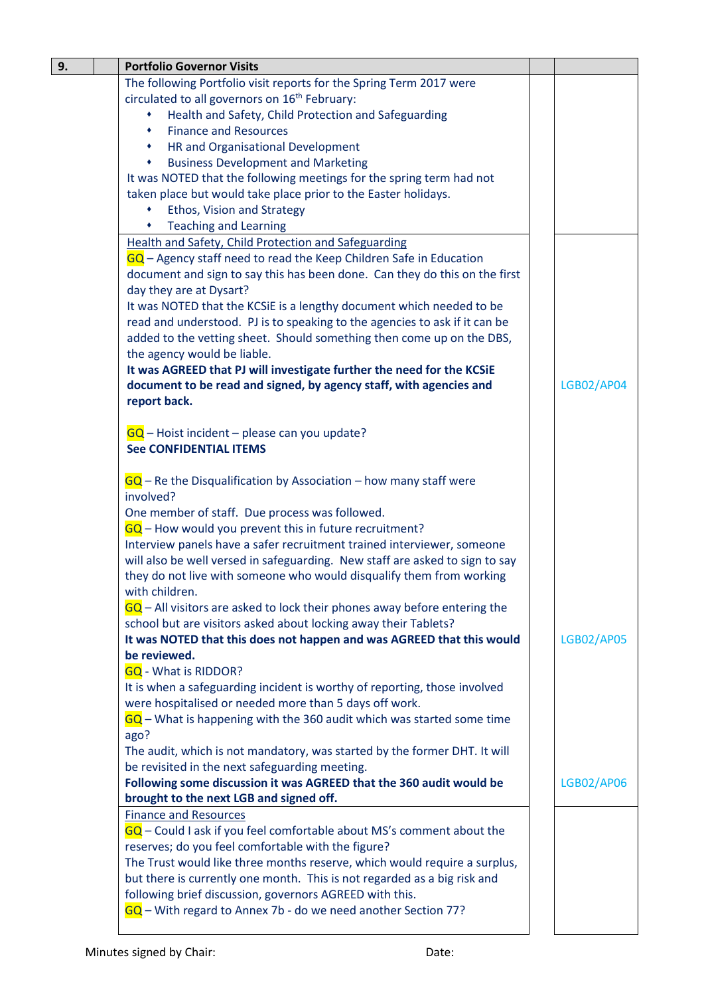| 9. | <b>Portfolio Governor Visits</b>                                                            |                   |
|----|---------------------------------------------------------------------------------------------|-------------------|
|    | The following Portfolio visit reports for the Spring Term 2017 were                         |                   |
|    | circulated to all governors on 16 <sup>th</sup> February:                                   |                   |
|    | Health and Safety, Child Protection and Safeguarding                                        |                   |
|    | <b>Finance and Resources</b><br>٠                                                           |                   |
|    | HR and Organisational Development                                                           |                   |
|    | <b>Business Development and Marketing</b><br>٠                                              |                   |
|    | It was NOTED that the following meetings for the spring term had not                        |                   |
|    | taken place but would take place prior to the Easter holidays.                              |                   |
|    | Ethos, Vision and Strategy<br><b>Teaching and Learning</b>                                  |                   |
|    | <b>Health and Safety, Child Protection and Safeguarding</b>                                 |                   |
|    | GQ - Agency staff need to read the Keep Children Safe in Education                          |                   |
|    | document and sign to say this has been done. Can they do this on the first                  |                   |
|    | day they are at Dysart?                                                                     |                   |
|    | It was NOTED that the KCSiE is a lengthy document which needed to be                        |                   |
|    | read and understood. PJ is to speaking to the agencies to ask if it can be                  |                   |
|    | added to the vetting sheet. Should something then come up on the DBS,                       |                   |
|    | the agency would be liable.                                                                 |                   |
|    | It was AGREED that PJ will investigate further the need for the KCSiE                       |                   |
|    | document to be read and signed, by agency staff, with agencies and                          | <b>LGB02/AP04</b> |
|    | report back.                                                                                |                   |
|    |                                                                                             |                   |
|    | $GQ$ – Hoist incident – please can you update?                                              |                   |
|    | <b>See CONFIDENTIAL ITEMS</b>                                                               |                   |
|    |                                                                                             |                   |
|    | $\overline{GQ}$ – Re the Disqualification by Association – how many staff were<br>involved? |                   |
|    | One member of staff. Due process was followed.                                              |                   |
|    | $GQ$ – How would you prevent this in future recruitment?                                    |                   |
|    | Interview panels have a safer recruitment trained interviewer, someone                      |                   |
|    | will also be well versed in safeguarding. New staff are asked to sign to say                |                   |
|    | they do not live with someone who would disqualify them from working                        |                   |
|    | with children.                                                                              |                   |
|    | $GQ$ – All visitors are asked to lock their phones away before entering the                 |                   |
|    | school but are visitors asked about locking away their Tablets?                             |                   |
|    | It was NOTED that this does not happen and was AGREED that this would                       | <b>LGB02/AP05</b> |
|    | be reviewed.                                                                                |                   |
|    | <b>GQ</b> - What is RIDDOR?                                                                 |                   |
|    | It is when a safeguarding incident is worthy of reporting, those involved                   |                   |
|    | were hospitalised or needed more than 5 days off work.                                      |                   |
|    | $GQ$ – What is happening with the 360 audit which was started some time                     |                   |
|    | ago?<br>The audit, which is not mandatory, was started by the former DHT. It will           |                   |
|    | be revisited in the next safeguarding meeting.                                              |                   |
|    | Following some discussion it was AGREED that the 360 audit would be                         | <b>LGB02/AP06</b> |
|    | brought to the next LGB and signed off.                                                     |                   |
|    | <b>Finance and Resources</b>                                                                |                   |
|    | $GQ$ – Could I ask if you feel comfortable about MS's comment about the                     |                   |
|    | reserves; do you feel comfortable with the figure?                                          |                   |
|    | The Trust would like three months reserve, which would require a surplus,                   |                   |
|    | but there is currently one month. This is not regarded as a big risk and                    |                   |
|    | following brief discussion, governors AGREED with this.                                     |                   |
|    | $GQ$ – With regard to Annex 7b - do we need another Section 77?                             |                   |
|    |                                                                                             |                   |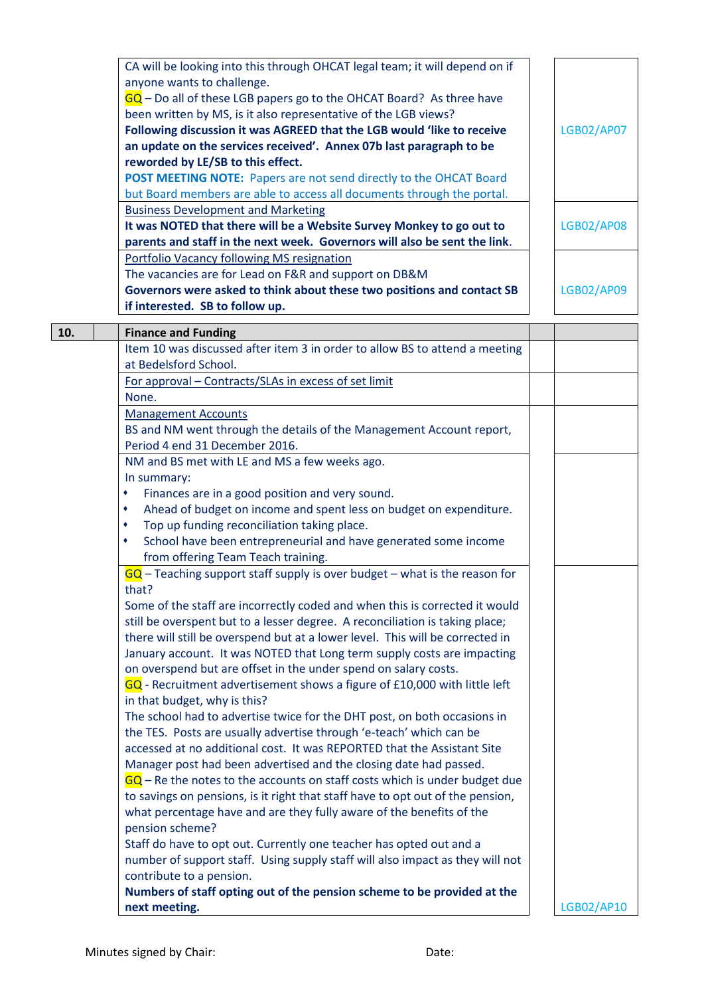| CA will be looking into this through OHCAT legal team; it will depend on if<br>anyone wants to challenge.<br>$GG$ – Do all of these LGB papers go to the OHCAT Board? As three have<br>been written by MS, is it also representative of the LGB views?<br>Following discussion it was AGREED that the LGB would 'like to receive<br>an update on the services received'. Annex 07b last paragraph to be<br>reworded by LE/SB to this effect.<br>POST MEETING NOTE: Papers are not send directly to the OHCAT Board<br>but Board members are able to access all documents through the portal.<br><b>Business Development and Marketing</b><br>It was NOTED that there will be a Website Survey Monkey to go out to<br>parents and staff in the next week. Governors will also be sent the link.<br><b>Portfolio Vacancy following MS resignation</b><br>The vacancies are for Lead on F&R and support on DB&M<br>Governors were asked to think about these two positions and contact SB<br>if interested. SB to follow up. | <b>LGB02/AP07</b><br><b>LGB02/AP08</b><br><b>LGB02/AP09</b> |
|---------------------------------------------------------------------------------------------------------------------------------------------------------------------------------------------------------------------------------------------------------------------------------------------------------------------------------------------------------------------------------------------------------------------------------------------------------------------------------------------------------------------------------------------------------------------------------------------------------------------------------------------------------------------------------------------------------------------------------------------------------------------------------------------------------------------------------------------------------------------------------------------------------------------------------------------------------------------------------------------------------------------------|-------------------------------------------------------------|
| <b>Finance and Funding</b><br>10.                                                                                                                                                                                                                                                                                                                                                                                                                                                                                                                                                                                                                                                                                                                                                                                                                                                                                                                                                                                         |                                                             |
| Item 10 was discussed after item 3 in order to allow BS to attend a meeting                                                                                                                                                                                                                                                                                                                                                                                                                                                                                                                                                                                                                                                                                                                                                                                                                                                                                                                                               |                                                             |
| at Bedelsford School.                                                                                                                                                                                                                                                                                                                                                                                                                                                                                                                                                                                                                                                                                                                                                                                                                                                                                                                                                                                                     |                                                             |
| For approval - Contracts/SLAs in excess of set limit                                                                                                                                                                                                                                                                                                                                                                                                                                                                                                                                                                                                                                                                                                                                                                                                                                                                                                                                                                      |                                                             |
| None.                                                                                                                                                                                                                                                                                                                                                                                                                                                                                                                                                                                                                                                                                                                                                                                                                                                                                                                                                                                                                     |                                                             |
| <b>Management Accounts</b>                                                                                                                                                                                                                                                                                                                                                                                                                                                                                                                                                                                                                                                                                                                                                                                                                                                                                                                                                                                                |                                                             |
| BS and NM went through the details of the Management Account report,<br>Period 4 end 31 December 2016.                                                                                                                                                                                                                                                                                                                                                                                                                                                                                                                                                                                                                                                                                                                                                                                                                                                                                                                    |                                                             |
| NM and BS met with LE and MS a few weeks ago.                                                                                                                                                                                                                                                                                                                                                                                                                                                                                                                                                                                                                                                                                                                                                                                                                                                                                                                                                                             |                                                             |
| In summary:                                                                                                                                                                                                                                                                                                                                                                                                                                                                                                                                                                                                                                                                                                                                                                                                                                                                                                                                                                                                               |                                                             |
| Finances are in a good position and very sound.<br>٠                                                                                                                                                                                                                                                                                                                                                                                                                                                                                                                                                                                                                                                                                                                                                                                                                                                                                                                                                                      |                                                             |
| Ahead of budget on income and spent less on budget on expenditure.<br>٠                                                                                                                                                                                                                                                                                                                                                                                                                                                                                                                                                                                                                                                                                                                                                                                                                                                                                                                                                   |                                                             |
| Top up funding reconciliation taking place.<br>٠                                                                                                                                                                                                                                                                                                                                                                                                                                                                                                                                                                                                                                                                                                                                                                                                                                                                                                                                                                          |                                                             |
| School have been entrepreneurial and have generated some income<br>٠                                                                                                                                                                                                                                                                                                                                                                                                                                                                                                                                                                                                                                                                                                                                                                                                                                                                                                                                                      |                                                             |
| from offering Team Teach training.                                                                                                                                                                                                                                                                                                                                                                                                                                                                                                                                                                                                                                                                                                                                                                                                                                                                                                                                                                                        |                                                             |
| $GQ$ – Teaching support staff supply is over budget – what is the reason for                                                                                                                                                                                                                                                                                                                                                                                                                                                                                                                                                                                                                                                                                                                                                                                                                                                                                                                                              |                                                             |
| that?                                                                                                                                                                                                                                                                                                                                                                                                                                                                                                                                                                                                                                                                                                                                                                                                                                                                                                                                                                                                                     |                                                             |
| Some of the staff are incorrectly coded and when this is corrected it would                                                                                                                                                                                                                                                                                                                                                                                                                                                                                                                                                                                                                                                                                                                                                                                                                                                                                                                                               |                                                             |
| still be overspent but to a lesser degree. A reconciliation is taking place;                                                                                                                                                                                                                                                                                                                                                                                                                                                                                                                                                                                                                                                                                                                                                                                                                                                                                                                                              |                                                             |
| there will still be overspend but at a lower level. This will be corrected in<br>January account. It was NOTED that Long term supply costs are impacting                                                                                                                                                                                                                                                                                                                                                                                                                                                                                                                                                                                                                                                                                                                                                                                                                                                                  |                                                             |
| on overspend but are offset in the under spend on salary costs.                                                                                                                                                                                                                                                                                                                                                                                                                                                                                                                                                                                                                                                                                                                                                                                                                                                                                                                                                           |                                                             |
| GQ - Recruitment advertisement shows a figure of £10,000 with little left                                                                                                                                                                                                                                                                                                                                                                                                                                                                                                                                                                                                                                                                                                                                                                                                                                                                                                                                                 |                                                             |
| in that budget, why is this?                                                                                                                                                                                                                                                                                                                                                                                                                                                                                                                                                                                                                                                                                                                                                                                                                                                                                                                                                                                              |                                                             |
| The school had to advertise twice for the DHT post, on both occasions in                                                                                                                                                                                                                                                                                                                                                                                                                                                                                                                                                                                                                                                                                                                                                                                                                                                                                                                                                  |                                                             |
| the TES. Posts are usually advertise through 'e-teach' which can be                                                                                                                                                                                                                                                                                                                                                                                                                                                                                                                                                                                                                                                                                                                                                                                                                                                                                                                                                       |                                                             |
| accessed at no additional cost. It was REPORTED that the Assistant Site                                                                                                                                                                                                                                                                                                                                                                                                                                                                                                                                                                                                                                                                                                                                                                                                                                                                                                                                                   |                                                             |
| Manager post had been advertised and the closing date had passed.                                                                                                                                                                                                                                                                                                                                                                                                                                                                                                                                                                                                                                                                                                                                                                                                                                                                                                                                                         |                                                             |
| $GQ$ – Re the notes to the accounts on staff costs which is under budget due                                                                                                                                                                                                                                                                                                                                                                                                                                                                                                                                                                                                                                                                                                                                                                                                                                                                                                                                              |                                                             |
| to savings on pensions, is it right that staff have to opt out of the pension,                                                                                                                                                                                                                                                                                                                                                                                                                                                                                                                                                                                                                                                                                                                                                                                                                                                                                                                                            |                                                             |
| what percentage have and are they fully aware of the benefits of the                                                                                                                                                                                                                                                                                                                                                                                                                                                                                                                                                                                                                                                                                                                                                                                                                                                                                                                                                      |                                                             |
| pension scheme?<br>Staff do have to opt out. Currently one teacher has opted out and a                                                                                                                                                                                                                                                                                                                                                                                                                                                                                                                                                                                                                                                                                                                                                                                                                                                                                                                                    |                                                             |
| number of support staff. Using supply staff will also impact as they will not                                                                                                                                                                                                                                                                                                                                                                                                                                                                                                                                                                                                                                                                                                                                                                                                                                                                                                                                             |                                                             |
| contribute to a pension.                                                                                                                                                                                                                                                                                                                                                                                                                                                                                                                                                                                                                                                                                                                                                                                                                                                                                                                                                                                                  |                                                             |
| Numbers of staff opting out of the pension scheme to be provided at the                                                                                                                                                                                                                                                                                                                                                                                                                                                                                                                                                                                                                                                                                                                                                                                                                                                                                                                                                   |                                                             |
| next meeting.                                                                                                                                                                                                                                                                                                                                                                                                                                                                                                                                                                                                                                                                                                                                                                                                                                                                                                                                                                                                             | LGB02/AP10                                                  |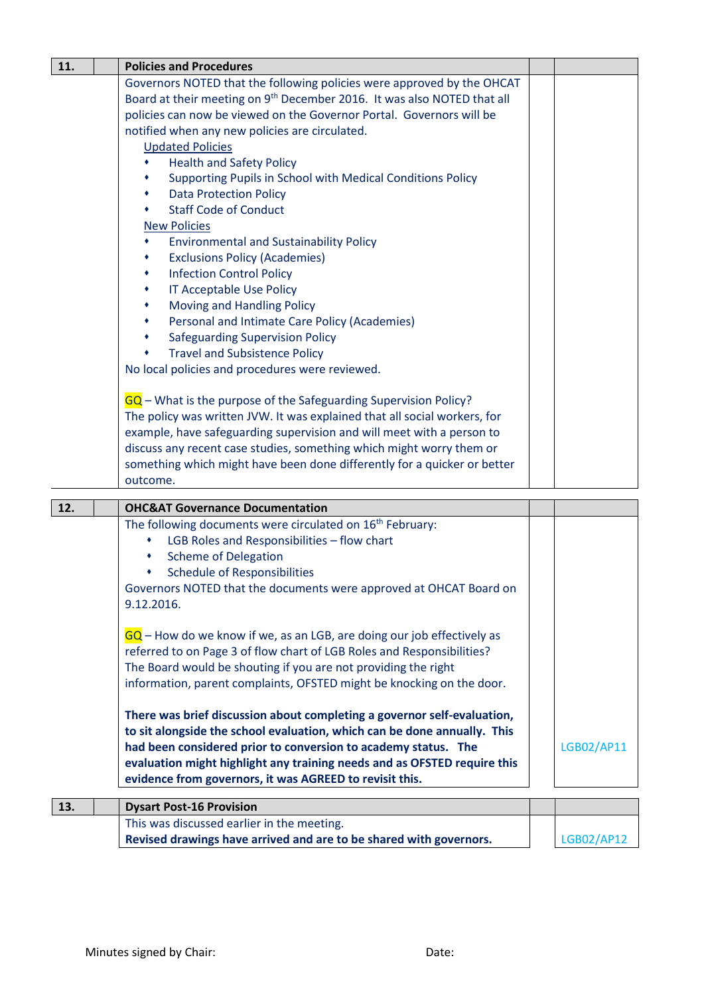| 11. | <b>Policies and Procedures</b>                                                                                                                                                                                                                                                                                                                                                                                                                                                                                                                                                                                                                                                                                                                                                                                                                                                                                                                                                                                                                                                                                                                                                                                                                                                                                        |            |
|-----|-----------------------------------------------------------------------------------------------------------------------------------------------------------------------------------------------------------------------------------------------------------------------------------------------------------------------------------------------------------------------------------------------------------------------------------------------------------------------------------------------------------------------------------------------------------------------------------------------------------------------------------------------------------------------------------------------------------------------------------------------------------------------------------------------------------------------------------------------------------------------------------------------------------------------------------------------------------------------------------------------------------------------------------------------------------------------------------------------------------------------------------------------------------------------------------------------------------------------------------------------------------------------------------------------------------------------|------------|
|     | Governors NOTED that the following policies were approved by the OHCAT<br>Board at their meeting on 9 <sup>th</sup> December 2016. It was also NOTED that all<br>policies can now be viewed on the Governor Portal. Governors will be<br>notified when any new policies are circulated.<br><b>Updated Policies</b><br><b>Health and Safety Policy</b><br>٠<br>Supporting Pupils in School with Medical Conditions Policy<br><b>Data Protection Policy</b><br>٠<br><b>Staff Code of Conduct</b><br><b>New Policies</b><br><b>Environmental and Sustainability Policy</b><br><b>Exclusions Policy (Academies)</b><br><b>Infection Control Policy</b><br>٠<br>IT Acceptable Use Policy<br>٠<br>Moving and Handling Policy<br>٠<br>Personal and Intimate Care Policy (Academies)<br><b>Safeguarding Supervision Policy</b><br>٠<br><b>Travel and Subsistence Policy</b><br>٠<br>No local policies and procedures were reviewed.<br>GQ – What is the purpose of the Safeguarding Supervision Policy?<br>The policy was written JVW. It was explained that all social workers, for<br>example, have safeguarding supervision and will meet with a person to<br>discuss any recent case studies, something which might worry them or<br>something which might have been done differently for a quicker or better<br>outcome. |            |
| 12. | <b>OHC&amp;AT Governance Documentation</b>                                                                                                                                                                                                                                                                                                                                                                                                                                                                                                                                                                                                                                                                                                                                                                                                                                                                                                                                                                                                                                                                                                                                                                                                                                                                            |            |
|     | The following documents were circulated on 16 <sup>th</sup> February:<br>LGB Roles and Responsibilities - flow chart<br><b>Scheme of Delegation</b><br><b>Schedule of Responsibilities</b><br>٠<br>Governors NOTED that the documents were approved at OHCAT Board on<br>9.12.2016.<br>$GG$ – How do we know if we, as an LGB, are doing our job effectively as<br>referred to on Page 3 of flow chart of LGB Roles and Responsibilities?<br>The Board would be shouting if you are not providing the right<br>information, parent complaints, OFSTED might be knocking on the door.<br>There was brief discussion about completing a governor self-evaluation,<br>to sit alongside the school evaluation, which can be done annually. This<br>had been considered prior to conversion to academy status. The<br>evaluation might highlight any training needs and as OFSTED require this<br>evidence from governors, it was AGREED to revisit this.                                                                                                                                                                                                                                                                                                                                                                  | LGB02/AP11 |
| 13. | <b>Dysart Post-16 Provision</b>                                                                                                                                                                                                                                                                                                                                                                                                                                                                                                                                                                                                                                                                                                                                                                                                                                                                                                                                                                                                                                                                                                                                                                                                                                                                                       |            |
|     | This was discussed earlier in the meeting                                                                                                                                                                                                                                                                                                                                                                                                                                                                                                                                                                                                                                                                                                                                                                                                                                                                                                                                                                                                                                                                                                                                                                                                                                                                             |            |

This was discussed earlier in the meeting. **Revised drawings have arrived and are to be shared with governors.**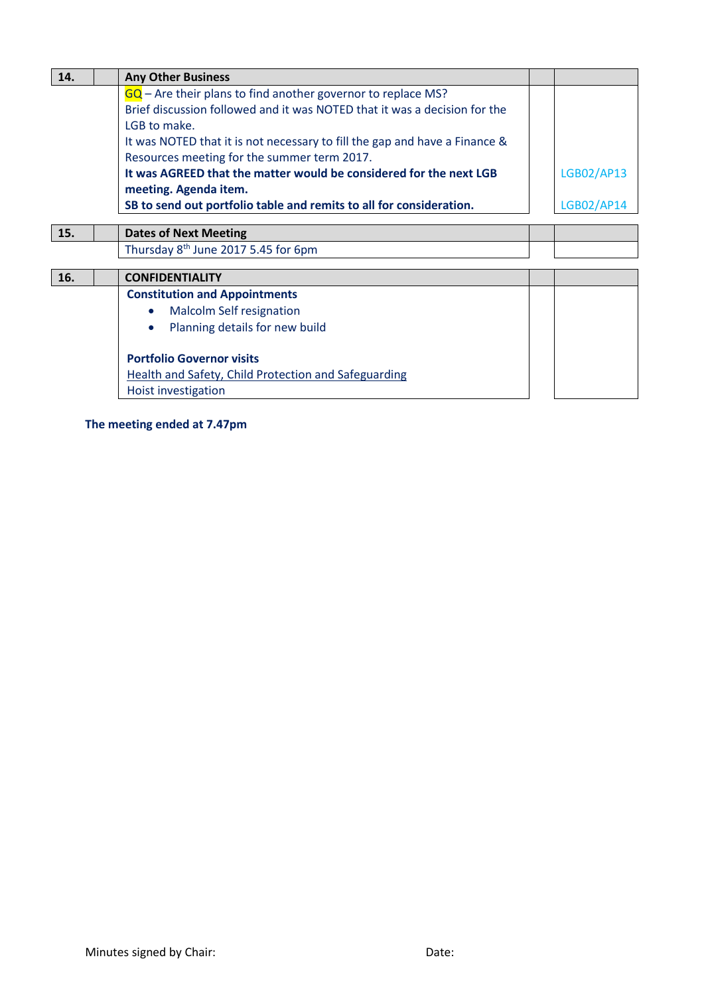| 14. | <b>Any Other Business</b>                                                  |            |
|-----|----------------------------------------------------------------------------|------------|
|     | $GQ$ – Are their plans to find another governor to replace MS?             |            |
|     | Brief discussion followed and it was NOTED that it was a decision for the  |            |
|     | LGB to make.                                                               |            |
|     | It was NOTED that it is not necessary to fill the gap and have a Finance & |            |
|     | Resources meeting for the summer term 2017.                                |            |
|     | It was AGREED that the matter would be considered for the next LGB         | LGB02/AP13 |
|     | meeting. Agenda item.                                                      |            |
|     | SB to send out portfolio table and remits to all for consideration.        | LGB02/AP14 |
|     |                                                                            |            |
| 15. | <b>Dates of Next Meeting</b>                                               |            |
|     | Thursday 8 <sup>th</sup> June 2017 5.45 for 6pm                            |            |
|     |                                                                            |            |
| 16. | <b>CONFIDENTIALITY</b>                                                     |            |
|     | <b>Constitution and Appointments</b>                                       |            |
|     | <b>Malcolm Self resignation</b><br>$\bullet$                               |            |
|     | Planning details for new build<br>$\bullet$                                |            |
|     |                                                                            |            |
|     | <b>Portfolio Governor visits</b>                                           |            |
|     | <b>Health and Safety, Child Protection and Safeguarding</b>                |            |
|     | Hoist investigation                                                        |            |

**The meeting ended at 7.47pm**